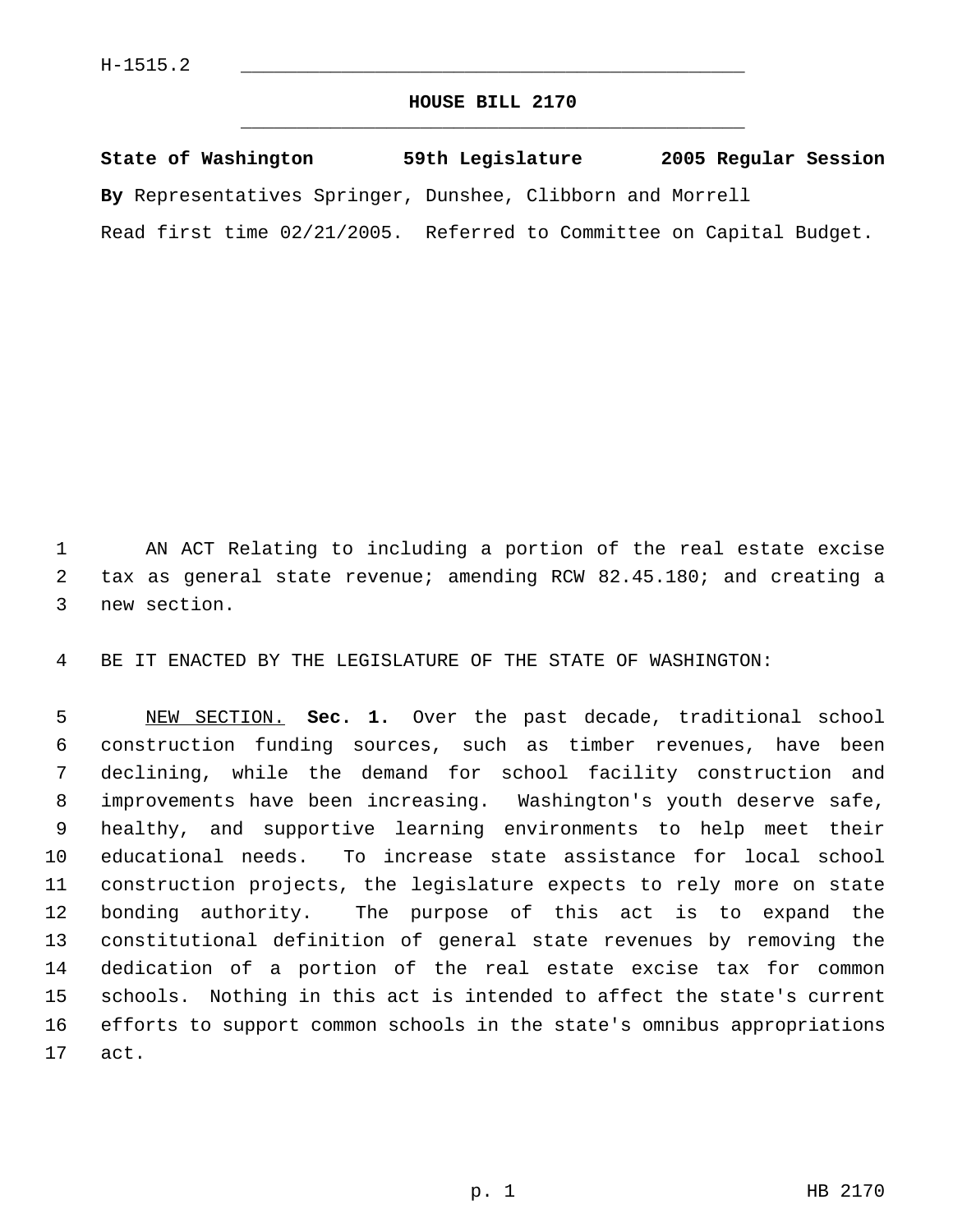## **HOUSE BILL 2170** \_\_\_\_\_\_\_\_\_\_\_\_\_\_\_\_\_\_\_\_\_\_\_\_\_\_\_\_\_\_\_\_\_\_\_\_\_\_\_\_\_\_\_\_\_

**State of Washington 59th Legislature 2005 Regular Session By** Representatives Springer, Dunshee, Clibborn and Morrell Read first time 02/21/2005. Referred to Committee on Capital Budget.

 AN ACT Relating to including a portion of the real estate excise tax as general state revenue; amending RCW 82.45.180; and creating a new section.

BE IT ENACTED BY THE LEGISLATURE OF THE STATE OF WASHINGTON:

 NEW SECTION. **Sec. 1.** Over the past decade, traditional school construction funding sources, such as timber revenues, have been declining, while the demand for school facility construction and improvements have been increasing. Washington's youth deserve safe, healthy, and supportive learning environments to help meet their educational needs. To increase state assistance for local school construction projects, the legislature expects to rely more on state bonding authority. The purpose of this act is to expand the constitutional definition of general state revenues by removing the dedication of a portion of the real estate excise tax for common schools. Nothing in this act is intended to affect the state's current efforts to support common schools in the state's omnibus appropriations act.